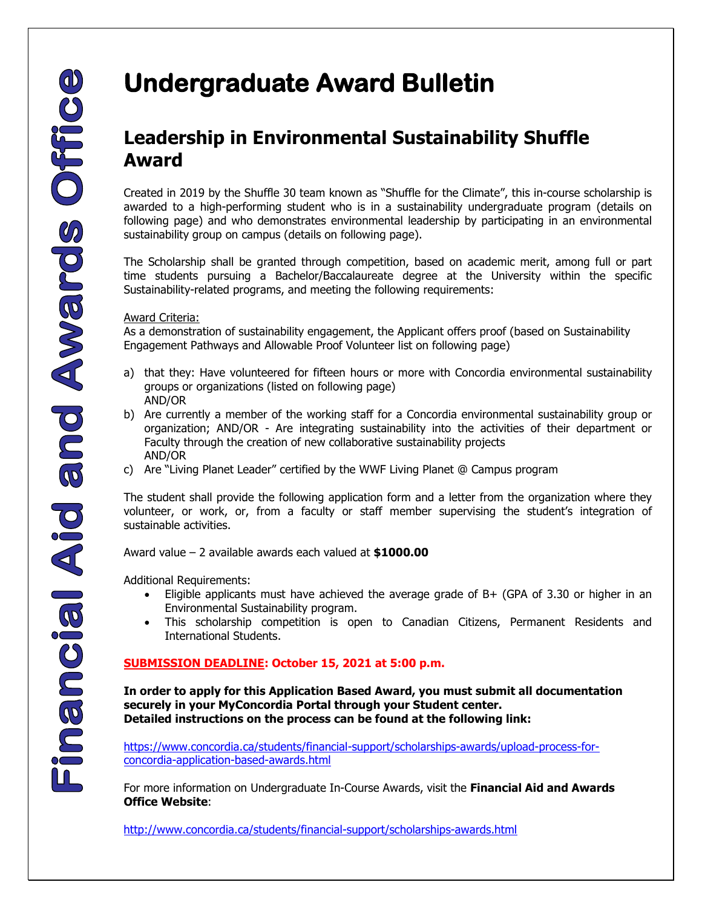# **Leadership in Environmental Sustainability Shuffle Award**

Created in 2019 by the Shuffle 30 team known as "Shuffle for the Climate", this in-course scholarship is awarded to a high-performing student who is in a sustainability undergraduate program (details on following page) and who demonstrates environmental leadership by participating in an environmental sustainability group on campus (details on following page).

The Scholarship shall be granted through competition, based on academic merit, among full or part time students pursuing a Bachelor/Baccalaureate degree at the University within the specific Sustainability-related programs, and meeting the following requirements:

## Award Criteria:

As a demonstration of sustainability engagement, the Applicant offers proof (based on Sustainability Engagement Pathways and Allowable Proof Volunteer list on following page)

- a) that they: Have volunteered for fifteen hours or more with Concordia environmental sustainability groups or organizations (listed on following page) AND/OR
- b) Are currently a member of the working staff for a Concordia environmental sustainability group or organization; AND/OR - Are integrating sustainability into the activities of their department or Faculty through the creation of new collaborative sustainability projects AND/OR
- c) Are "Living Planet Leader" certified by the WWF Living Planet @ Campus program

The student shall provide the following application form and a letter from the organization where they volunteer, or work, or, from a faculty or staff member supervising the student's integration of sustainable activities.

Award value – 2 available awards each valued at **\$1000.00**

Additional Requirements:

- Eligible applicants must have achieved the average grade of B+ (GPA of 3.30 or higher in an Environmental Sustainability program.
- This scholarship competition is open to Canadian Citizens, Permanent Residents and International Students.

# **SUBMISSION DEADLINE: October 15, 2021 at 5:00 p.m.**

**In order to apply for this Application Based Award, you must submit all documentation securely in your MyConcordia Portal through your Student center. Detailed instructions on the process can be found at the following link:** 

[https://www.concordia.ca/students/financial-support/scholarships-awards/upload-process-for](https://www.concordia.ca/students/financial-support/scholarships-awards/upload-process-for-concordia-application-based-awards.html)[concordia-application-based-awards.html](https://www.concordia.ca/students/financial-support/scholarships-awards/upload-process-for-concordia-application-based-awards.html)

For more information on Undergraduate In-Course Awards, visit the **Financial Aid and Awards Office Website**:

<http://www.concordia.ca/students/financial-support/scholarships-awards.html>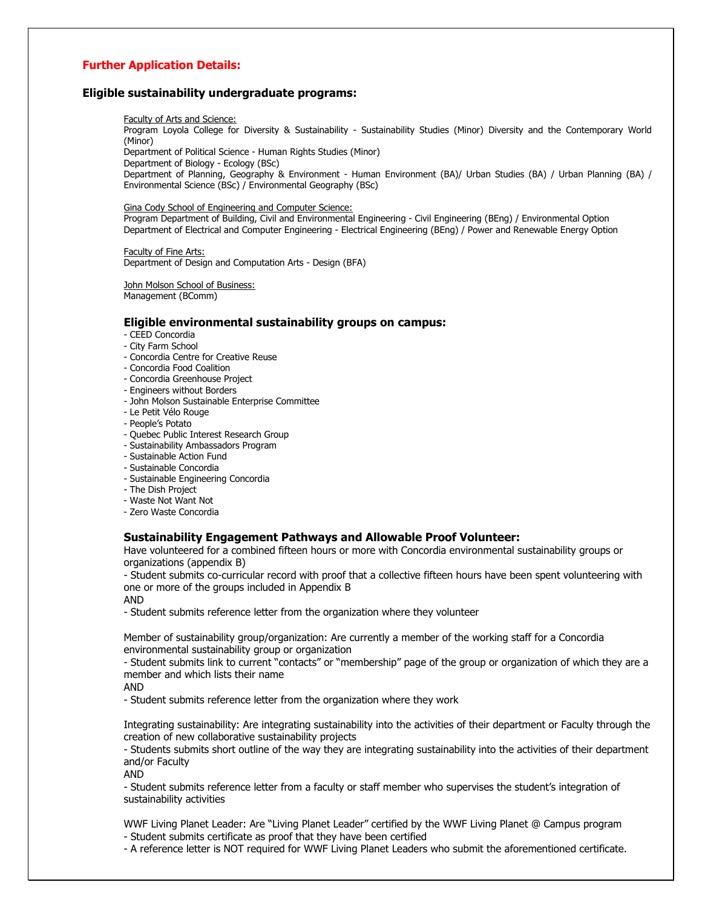### **Further Application Details:**

#### **Eligible sustainability undergraduate programs:**

#### Faculty of Arts and Science:

Program Loyola College for Diversity & Sustainability - Sustainability Studies (Minor) Diversity and the Contemporary World (Minor)

Department of Political Science - Human Rights Studies (Minor)

Department of Biology - Ecology (BSc)

Department of Planning, Geography & Environment - Human Environment (BA)/ Urban Studies (BA) / Urban Planning (BA) / Environmental Science (BSc) / Environmental Geography (BSc)

#### Gina Cody School of Engineering and Computer Science:

Program Department of Building, Civil and Environmental Engineering - Civil Engineering (BEng) / Environmental Option Department of Electrical and Computer Engineering - Electrical Engineering (BEng) / Power and Renewable Energy Option

Faculty of Fine Arts: Department of Design and Computation Arts - Design (BFA)

John Molson School of Business: Management (BComm)

#### **Eligible environmental sustainability groups on campus:**

- CEED Concordia

- City Farm School
- Concordia Centre for Creative Reuse
- Concordia Food Coalition
- Concordia Greenhouse Project
- Engineers without Borders
- John Molson Sustainable Enterprise Committee
- Le Petit Vélo Rouge
- People's Potato
- Quebec Public Interest Research Group
- Sustainability Ambassadors Program
- Sustainable Action Fund
- Sustainable Concordia
- Sustainable Engineering Concordia
- The Dish Project
- Waste Not Want Not
- Zero Waste Concordia

#### **Sustainability Engagement Pathways and Allowable Proof Volunteer:**

Have volunteered for a combined fifteen hours or more with Concordia environmental sustainability groups or organizations (appendix B)

- Student submits co-curricular record with proof that a collective fifteen hours have been spent volunteering with one or more of the groups included in Appendix B

AND

- Student submits reference letter from the organization where they volunteer

Member of sustainability group/organization: Are currently a member of the working staff for a Concordia environmental sustainability group or organization

- Student submits link to current "contacts" or "membership" page of the group or organization of which they are a member and which lists their name

AND

- Student submits reference letter from the organization where they work

Integrating sustainability: Are integrating sustainability into the activities of their department or Faculty through the creation of new collaborative sustainability projects

- Students submits short outline of the way they are integrating sustainability into the activities of their department and/or Faculty

AND

- Student submits reference letter from a faculty or staff member who supervises the student's integration of sustainability activities

WWF Living Planet Leader: Are "Living Planet Leader" certified by the WWF Living Planet @ Campus program

- Student submits certificate as proof that they have been certified

- A reference letter is NOT required for WWF Living Planet Leaders who submit the aforementioned certificate.